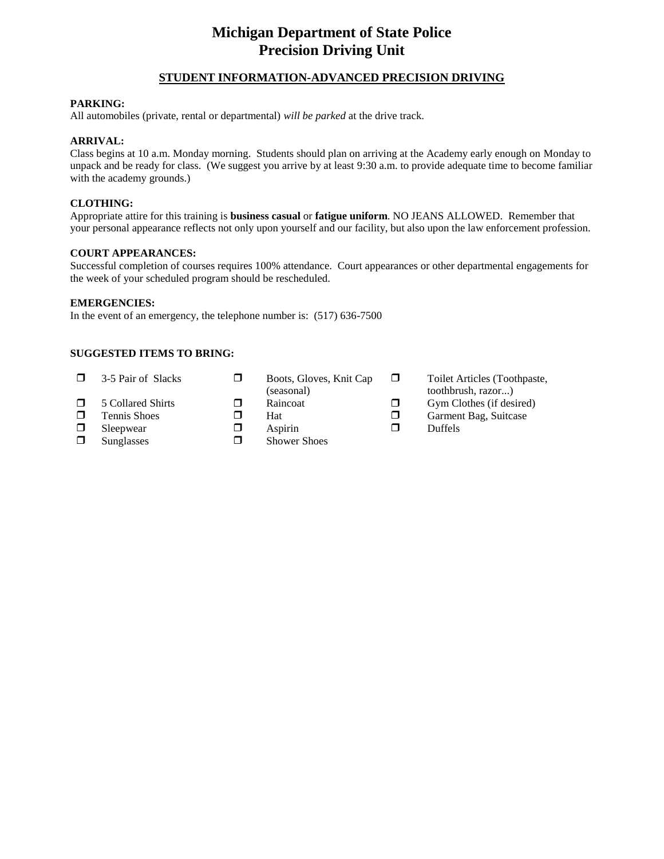## **Michigan Department of State Police Precision Driving Unit**

#### **STUDENT INFORMATION-ADVANCED PRECISION DRIVING**

#### **PARKING:**

All automobiles (private, rental or departmental) *will be parked* at the drive track.

#### **ARRIVAL:**

Class begins at 10 a.m. Monday morning. Students should plan on arriving at the Academy early enough on Monday to unpack and be ready for class. (We suggest you arrive by at least 9:30 a.m. to provide adequate time to become familiar with the academy grounds.)

#### **CLOTHING:**

Appropriate attire for this training is **business casual** or **fatigue uniform**. NO JEANS ALLOWED. Remember that your personal appearance reflects not only upon yourself and our facility, but also upon the law enforcement profession.

#### **COURT APPEARANCES:**

Successful completion of courses requires 100% attendance. Court appearances or other departmental engagements for the week of your scheduled program should be rescheduled.

#### **EMERGENCIES:**

In the event of an emergency, the telephone number is: (517) 636-7500

#### **SUGGESTED ITEMS TO BRING:**

 $\Box$  3-5 Pair of Slacks  $\Box$  Boots, Gloves, Knit Cap (seasonal) **T** Toilet Articles (Toothpaste, toothbrush, razor...)  $\Box$  5 Collared Shirts  $\Box$  Raincoat  $\Box$  Gym Clothes (if desired) **D** Tennis Shoes **C** Hat **C** Garment Bag, Suitcase  $\Box$  Sleepwear  $\Box$  Aspirin  $\Box$  Duffels  $\Box$  Sunglasses  $\Box$  Shower Shoes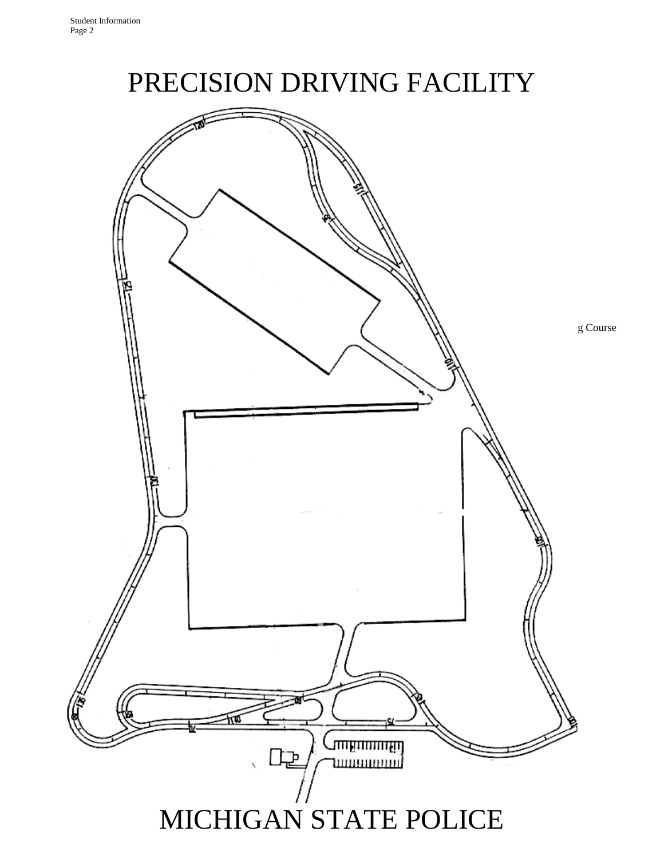# PRECISION DRIVING FACILITY

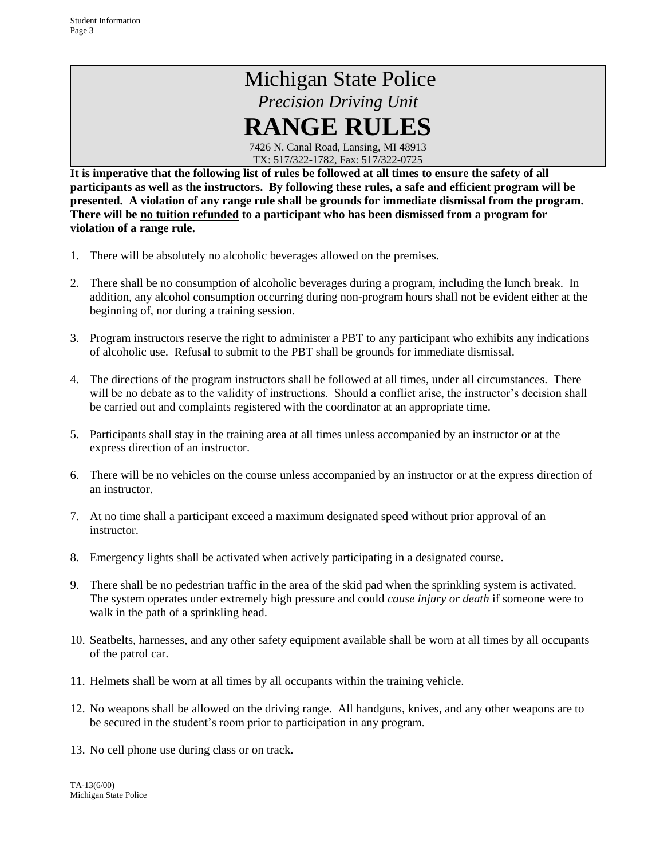## Michigan State Police *Precision Driving Unit* **RANGE RULES**

7426 N. Canal Road, Lansing, MI 48913 TX: 517/322-1782, Fax: 517/322-0725

**It is imperative that the following list of rules be followed at all times to ensure the safety of all participants as well as the instructors. By following these rules, a safe and efficient program will be presented. A violation of any range rule shall be grounds for immediate dismissal from the program. There will be no tuition refunded to a participant who has been dismissed from a program for violation of a range rule.**

- 1. There will be absolutely no alcoholic beverages allowed on the premises.
- 2. There shall be no consumption of alcoholic beverages during a program, including the lunch break. In addition, any alcohol consumption occurring during non-program hours shall not be evident either at the beginning of, nor during a training session.
- 3. Program instructors reserve the right to administer a PBT to any participant who exhibits any indications of alcoholic use. Refusal to submit to the PBT shall be grounds for immediate dismissal.
- 4. The directions of the program instructors shall be followed at all times, under all circumstances. There will be no debate as to the validity of instructions. Should a conflict arise, the instructor's decision shall be carried out and complaints registered with the coordinator at an appropriate time.
- 5. Participants shall stay in the training area at all times unless accompanied by an instructor or at the express direction of an instructor.
- 6. There will be no vehicles on the course unless accompanied by an instructor or at the express direction of an instructor.
- 7. At no time shall a participant exceed a maximum designated speed without prior approval of an instructor.
- 8. Emergency lights shall be activated when actively participating in a designated course.
- 9. There shall be no pedestrian traffic in the area of the skid pad when the sprinkling system is activated. The system operates under extremely high pressure and could *cause injury or death* if someone were to walk in the path of a sprinkling head.
- 10. Seatbelts, harnesses, and any other safety equipment available shall be worn at all times by all occupants of the patrol car.
- 11. Helmets shall be worn at all times by all occupants within the training vehicle.
- 12. No weapons shall be allowed on the driving range. All handguns, knives, and any other weapons are to be secured in the student's room prior to participation in any program.
- 13. No cell phone use during class or on track.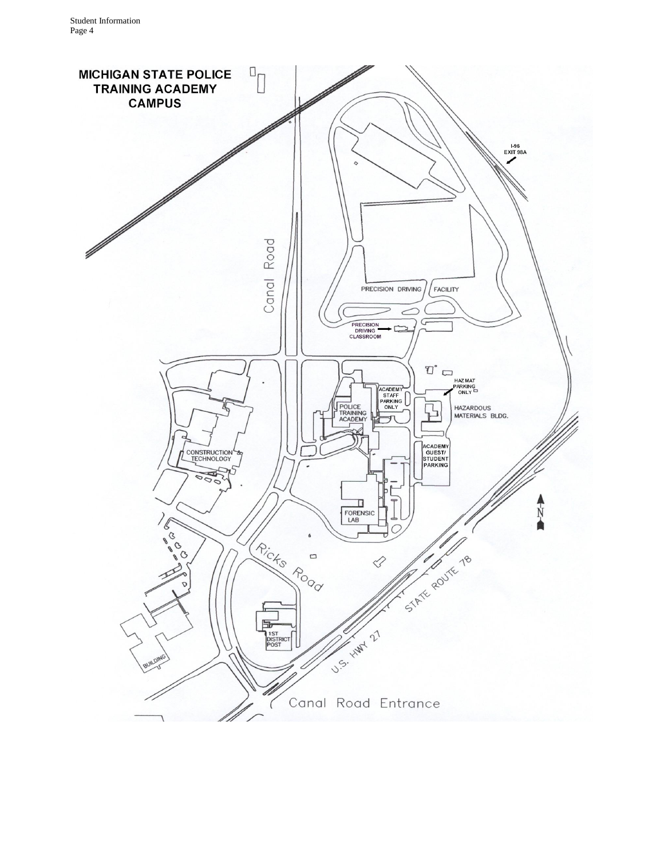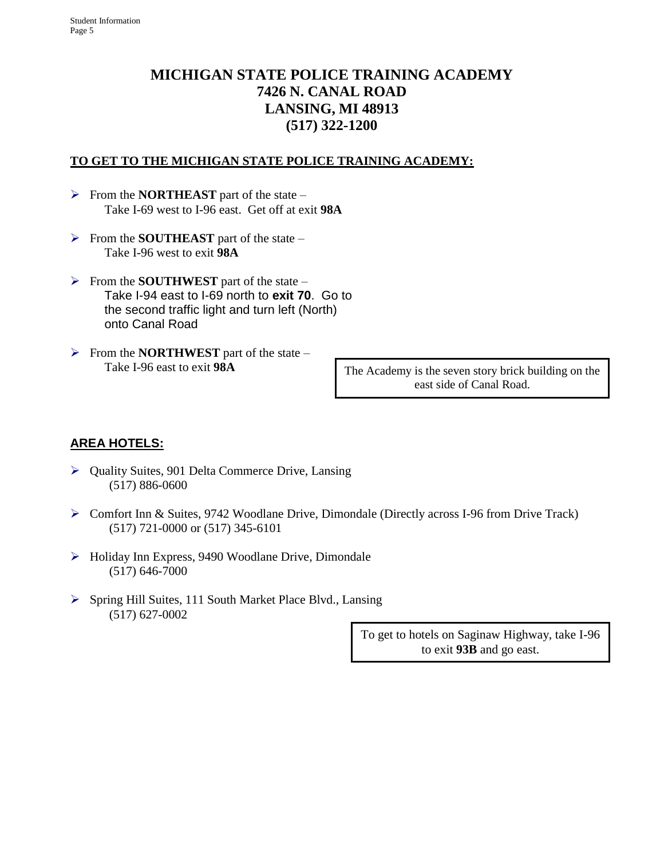## **MICHIGAN STATE POLICE TRAINING ACADEMY 7426 N. CANAL ROAD LANSING, MI 48913 (517) 322-1200**

### **TO GET TO THE MICHIGAN STATE POLICE TRAINING ACADEMY:**

- ➢ From the **NORTHEAST** part of the state Take I-69 west to I-96 east. Get off at exit **98A**
- ➢ From the **SOUTHEAST** part of the state Take I-96 west to exit **98A**
- ➢ From the **SOUTHWEST** part of the state Take I-94 east to I-69 north to **exit 70**. Go to the second traffic light and turn left (North) onto Canal Road
- ➢ From the **NORTHWEST** part of the state Take I-96 east to exit **98A**

The Academy is the seven story brick building on the east side of Canal Road.

## **AREA HOTELS:**

- ➢ Quality Suites, 901 Delta Commerce Drive, Lansing (517) 886-0600
- ➢ Comfort Inn & Suites, 9742 Woodlane Drive, Dimondale (Directly across I-96 from Drive Track) (517) 721-0000 or (517) 345-6101
- ➢ Holiday Inn Express, 9490 Woodlane Drive, Dimondale (517) 646-7000
- ➢ Spring Hill Suites, 111 South Market Place Blvd., Lansing (517) 627-0002

To get to hotels on Saginaw Highway, take I-96 to exit **93B** and go east.